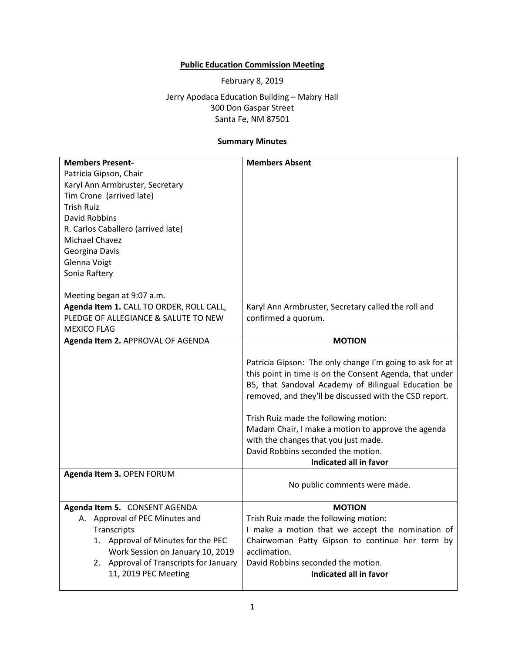## **Public Education Commission Meeting**

February 8, 2019

Jerry Apodaca Education Building – Mabry Hall 300 Don Gaspar Street Santa Fe, NM 87501

## **Summary Minutes**

| <b>Members Present-</b>                  | <b>Members Absent</b>                                    |
|------------------------------------------|----------------------------------------------------------|
| Patricia Gipson, Chair                   |                                                          |
| Karyl Ann Armbruster, Secretary          |                                                          |
| Tim Crone (arrived late)                 |                                                          |
| <b>Trish Ruiz</b>                        |                                                          |
|                                          |                                                          |
| <b>David Robbins</b>                     |                                                          |
| R. Carlos Caballero (arrived late)       |                                                          |
| Michael Chavez                           |                                                          |
| Georgina Davis                           |                                                          |
| Glenna Voigt                             |                                                          |
| Sonia Raftery                            |                                                          |
|                                          |                                                          |
| Meeting began at 9:07 a.m.               |                                                          |
| Agenda Item 1. CALL TO ORDER, ROLL CALL, | Karyl Ann Armbruster, Secretary called the roll and      |
| PLEDGE OF ALLEGIANCE & SALUTE TO NEW     | confirmed a quorum.                                      |
| <b>MEXICO FLAG</b>                       |                                                          |
| Agenda Item 2. APPROVAL OF AGENDA        | <b>MOTION</b>                                            |
|                                          |                                                          |
|                                          | Patricia Gipson: The only change I'm going to ask for at |
|                                          | this point in time is on the Consent Agenda, that under  |
|                                          | B5, that Sandoval Academy of Bilingual Education be      |
|                                          | removed, and they'll be discussed with the CSD report.   |
|                                          | Trish Ruiz made the following motion:                    |
|                                          | Madam Chair, I make a motion to approve the agenda       |
|                                          |                                                          |
|                                          | with the changes that you just made.                     |
|                                          | David Robbins seconded the motion.                       |
|                                          | <b>Indicated all in favor</b>                            |
| Agenda Item 3. OPEN FORUM                |                                                          |
|                                          | No public comments were made.                            |
| Agenda Item 5. CONSENT AGENDA            | <b>MOTION</b>                                            |
| A. Approval of PEC Minutes and           | Trish Ruiz made the following motion:                    |
| Transcripts                              | I make a motion that we accept the nomination of         |
| 1. Approval of Minutes for the PEC       | Chairwoman Patty Gipson to continue her term by          |
| Work Session on January 10, 2019         | acclimation.                                             |
| 2. Approval of Transcripts for January   | David Robbins seconded the motion.                       |
|                                          |                                                          |
| 11, 2019 PEC Meeting                     | Indicated all in favor                                   |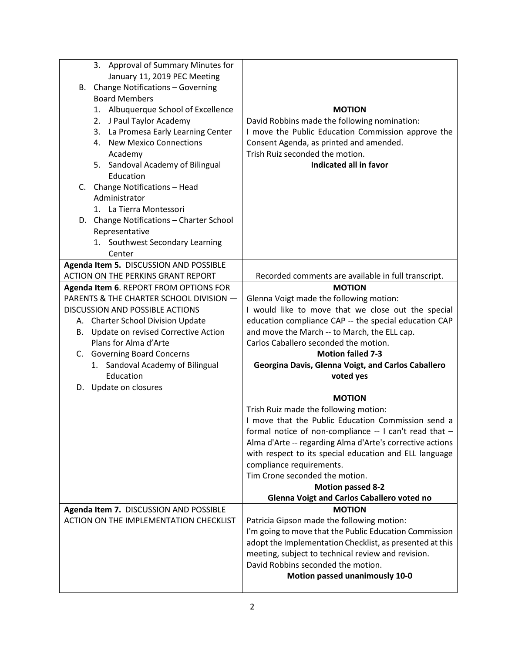| 3. Approval of Summary Minutes for        |                                                           |
|-------------------------------------------|-----------------------------------------------------------|
| January 11, 2019 PEC Meeting              |                                                           |
| B. Change Notifications - Governing       |                                                           |
| <b>Board Members</b>                      |                                                           |
| 1. Albuquerque School of Excellence       | <b>MOTION</b>                                             |
| 2. J Paul Taylor Academy                  | David Robbins made the following nomination:              |
| 3. La Promesa Early Learning Center       | I move the Public Education Commission approve the        |
| 4. New Mexico Connections                 | Consent Agenda, as printed and amended.                   |
| Academy                                   | Trish Ruiz seconded the motion.                           |
| 5. Sandoval Academy of Bilingual          | Indicated all in favor                                    |
| Education                                 |                                                           |
| C. Change Notifications - Head            |                                                           |
| Administrator                             |                                                           |
| 1. La Tierra Montessori                   |                                                           |
| D. Change Notifications - Charter School  |                                                           |
| Representative                            |                                                           |
| 1. Southwest Secondary Learning           |                                                           |
| Center                                    |                                                           |
| Agenda Item 5. DISCUSSION AND POSSIBLE    |                                                           |
| <b>ACTION ON THE PERKINS GRANT REPORT</b> | Recorded comments are available in full transcript.       |
| Agenda Item 6. REPORT FROM OPTIONS FOR    | <b>MOTION</b>                                             |
| PARENTS & THE CHARTER SCHOOL DIVISION -   | Glenna Voigt made the following motion:                   |
| <b>DISCUSSION AND POSSIBLE ACTIONS</b>    | I would like to move that we close out the special        |
| A. Charter School Division Update         | education compliance CAP -- the special education CAP     |
| B. Update on revised Corrective Action    | and move the March -- to March, the ELL cap.              |
| Plans for Alma d'Arte                     | Carlos Caballero seconded the motion.                     |
| C. Governing Board Concerns               | <b>Motion failed 7-3</b>                                  |
| 1. Sandoval Academy of Bilingual          | Georgina Davis, Glenna Voigt, and Carlos Caballero        |
| Education                                 | voted yes                                                 |
| D. Update on closures                     |                                                           |
|                                           | <b>MOTION</b>                                             |
|                                           | Trish Ruiz made the following motion:                     |
|                                           | I move that the Public Education Commission send a        |
|                                           | formal notice of non-compliance -- I can't read that -    |
|                                           | Alma d'Arte -- regarding Alma d'Arte's corrective actions |
|                                           | with respect to its special education and ELL language    |
|                                           | compliance requirements.                                  |
|                                           | Tim Crone seconded the motion.                            |
|                                           | <b>Motion passed 8-2</b>                                  |
|                                           | <b>Glenna Voigt and Carlos Caballero voted no</b>         |
| Agenda Item 7. DISCUSSION AND POSSIBLE    | <b>MOTION</b>                                             |
| ACTION ON THE IMPLEMENTATION CHECKLIST    | Patricia Gipson made the following motion:                |
|                                           | I'm going to move that the Public Education Commission    |
|                                           | adopt the Implementation Checklist, as presented at this  |
|                                           | meeting, subject to technical review and revision.        |
|                                           | David Robbins seconded the motion.                        |
|                                           | Motion passed unanimously 10-0                            |
|                                           |                                                           |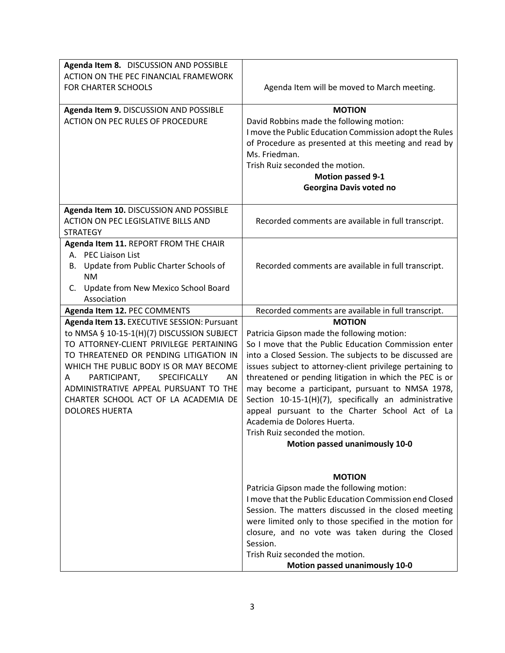| Agenda Item 8. DISCUSSION AND POSSIBLE                                                                                                                                                                                                                                                                                                                                        |                                                                                                                                                                                                                                                                                                                                                                                                                                                                                                                                                                            |
|-------------------------------------------------------------------------------------------------------------------------------------------------------------------------------------------------------------------------------------------------------------------------------------------------------------------------------------------------------------------------------|----------------------------------------------------------------------------------------------------------------------------------------------------------------------------------------------------------------------------------------------------------------------------------------------------------------------------------------------------------------------------------------------------------------------------------------------------------------------------------------------------------------------------------------------------------------------------|
| ACTION ON THE PEC FINANCIAL FRAMEWORK                                                                                                                                                                                                                                                                                                                                         |                                                                                                                                                                                                                                                                                                                                                                                                                                                                                                                                                                            |
| <b>FOR CHARTER SCHOOLS</b>                                                                                                                                                                                                                                                                                                                                                    | Agenda Item will be moved to March meeting.                                                                                                                                                                                                                                                                                                                                                                                                                                                                                                                                |
| Agenda Item 9. DISCUSSION AND POSSIBLE<br><b>ACTION ON PEC RULES OF PROCEDURE</b>                                                                                                                                                                                                                                                                                             | <b>MOTION</b><br>David Robbins made the following motion:<br>I move the Public Education Commission adopt the Rules<br>of Procedure as presented at this meeting and read by<br>Ms. Friedman.<br>Trish Ruiz seconded the motion.<br><b>Motion passed 9-1</b><br>Georgina Davis voted no                                                                                                                                                                                                                                                                                    |
| Agenda Item 10. DISCUSSION AND POSSIBLE<br><b>ACTION ON PEC LEGISLATIVE BILLS AND</b><br><b>STRATEGY</b>                                                                                                                                                                                                                                                                      | Recorded comments are available in full transcript.                                                                                                                                                                                                                                                                                                                                                                                                                                                                                                                        |
| Agenda Item 11. REPORT FROM THE CHAIR<br>A. PEC Liaison List<br>Update from Public Charter Schools of<br>В.<br>NM.<br>C. Update from New Mexico School Board<br>Association                                                                                                                                                                                                   | Recorded comments are available in full transcript.                                                                                                                                                                                                                                                                                                                                                                                                                                                                                                                        |
| Agenda Item 12. PEC COMMENTS                                                                                                                                                                                                                                                                                                                                                  | Recorded comments are available in full transcript.                                                                                                                                                                                                                                                                                                                                                                                                                                                                                                                        |
| Agenda Item 13. EXECUTIVE SESSION: Pursuant<br>to NMSA § 10-15-1(H)(7) DISCUSSION SUBJECT<br>TO ATTORNEY-CLIENT PRIVILEGE PERTAINING<br>TO THREATENED OR PENDING LITIGATION IN<br>WHICH THE PUBLIC BODY IS OR MAY BECOME<br>PARTICIPANT,<br>SPECIFICALLY<br>AN<br>A<br>ADMINISTRATIVE APPEAL PURSUANT TO THE<br>CHARTER SCHOOL ACT OF LA ACADEMIA DE<br><b>DOLORES HUERTA</b> | <b>MOTION</b><br>Patricia Gipson made the following motion:<br>So I move that the Public Education Commission enter<br>into a Closed Session. The subjects to be discussed are<br>issues subject to attorney-client privilege pertaining to<br>threatened or pending litigation in which the PEC is or<br>may become a participant, pursuant to NMSA 1978,<br>Section 10-15-1(H)(7), specifically an administrative<br>appeal pursuant to the Charter School Act of La<br>Academia de Dolores Huerta.<br>Trish Ruiz seconded the motion.<br>Motion passed unanimously 10-0 |
|                                                                                                                                                                                                                                                                                                                                                                               | <b>MOTION</b><br>Patricia Gipson made the following motion:<br>I move that the Public Education Commission end Closed<br>Session. The matters discussed in the closed meeting<br>were limited only to those specified in the motion for<br>closure, and no vote was taken during the Closed<br>Session.<br>Trish Ruiz seconded the motion.<br>Motion passed unanimously 10-0                                                                                                                                                                                               |